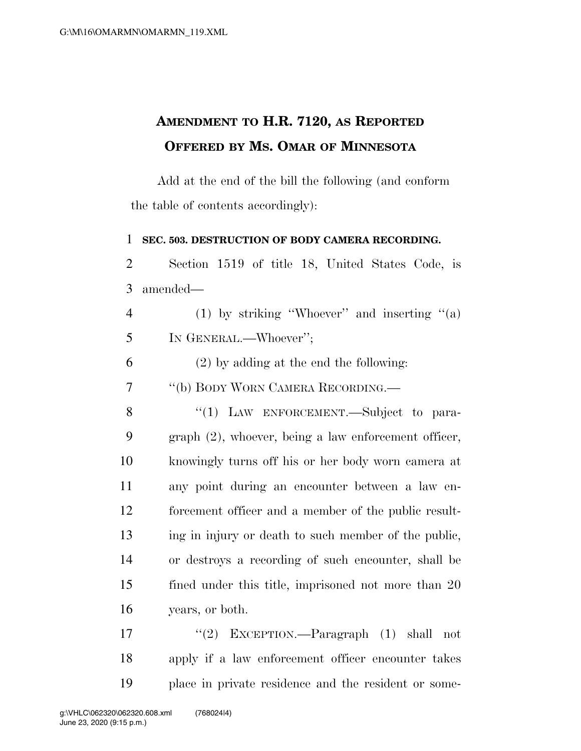## **AMENDMENT TO H.R. 7120, AS REPORTED OFFERED BY MS. OMAR OF MINNESOTA**

Add at the end of the bill the following (and conform the table of contents accordingly):

## **SEC. 503. DESTRUCTION OF BODY CAMERA RECORDING.**

 Section 1519 of title 18, United States Code, is amended—

| $\overline{4}$ | (1) by striking "Whoever" and inserting " $(a)$ |  |
|----------------|-------------------------------------------------|--|
|                | IN GENERAL.—Whoever";                           |  |

(2) by adding at the end the following:

''(b) BODY WORN CAMERA RECORDING.—

8 "(1) LAW ENFORCEMENT.—Subject to para- graph (2), whoever, being a law enforcement officer, knowingly turns off his or her body worn camera at any point during an encounter between a law en- forcement officer and a member of the public result- ing in injury or death to such member of the public, or destroys a recording of such encounter, shall be fined under this title, imprisoned not more than 20 years, or both.

 ''(2) EXCEPTION.—Paragraph (1) shall not apply if a law enforcement officer encounter takes place in private residence and the resident or some